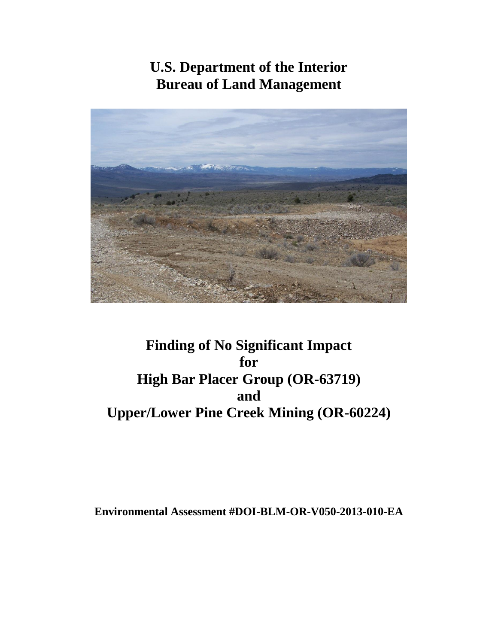# **U.S. Department of the Interior Bureau of Land Management**



# **Finding of No Significant Impact for High Bar Placer Group (OR-63719) and Upper/Lower Pine Creek Mining (OR-60224)**

**Environmental Assessment #DOI-BLM-OR-V050-2013-010-EA**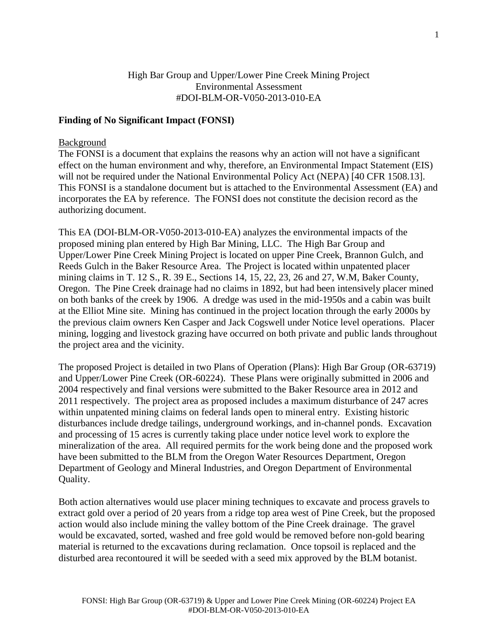### High Bar Group and Upper/Lower Pine Creek Mining Project Environmental Assessment #DOI-BLM-OR-V050-2013-010-EA

#### **Finding of No Significant Impact (FONSI)**

#### Background

The FONSI is a document that explains the reasons why an action will not have a significant effect on the human environment and why, therefore, an Environmental Impact Statement (EIS) will not be required under the National Environmental Policy Act (NEPA) [40 CFR 1508.13]. This FONSI is a standalone document but is attached to the Environmental Assessment (EA) and incorporates the EA by reference. The FONSI does not constitute the decision record as the authorizing document.

This EA (DOI-BLM-OR-V050-2013-010-EA) analyzes the environmental impacts of the proposed mining plan entered by High Bar Mining, LLC. The High Bar Group and Upper/Lower Pine Creek Mining Project is located on upper Pine Creek, Brannon Gulch, and Reeds Gulch in the Baker Resource Area. The Project is located within unpatented placer mining claims in T. 12 S., R. 39 E., Sections 14, 15, 22, 23, 26 and 27, W.M, Baker County, Oregon. The Pine Creek drainage had no claims in 1892, but had been intensively placer mined on both banks of the creek by 1906. A dredge was used in the mid-1950s and a cabin was built at the Elliot Mine site. Mining has continued in the project location through the early 2000s by the previous claim owners Ken Casper and Jack Cogswell under Notice level operations. Placer mining, logging and livestock grazing have occurred on both private and public lands throughout the project area and the vicinity.

The proposed Project is detailed in two Plans of Operation (Plans): High Bar Group (OR-63719) and Upper/Lower Pine Creek (OR-60224). These Plans were originally submitted in 2006 and 2004 respectively and final versions were submitted to the Baker Resource area in 2012 and 2011 respectively. The project area as proposed includes a maximum disturbance of 247 acres within unpatented mining claims on federal lands open to mineral entry. Existing historic disturbances include dredge tailings, underground workings, and in-channel ponds. Excavation and processing of 15 acres is currently taking place under notice level work to explore the mineralization of the area. All required permits for the work being done and the proposed work have been submitted to the BLM from the Oregon Water Resources Department, Oregon Department of Geology and Mineral Industries, and Oregon Department of Environmental Quality.

Both action alternatives would use placer mining techniques to excavate and process gravels to extract gold over a period of 20 years from a ridge top area west of Pine Creek, but the proposed action would also include mining the valley bottom of the Pine Creek drainage. The gravel would be excavated, sorted, washed and free gold would be removed before non-gold bearing material is returned to the excavations during reclamation. Once topsoil is replaced and the disturbed area recontoured it will be seeded with a seed mix approved by the BLM botanist.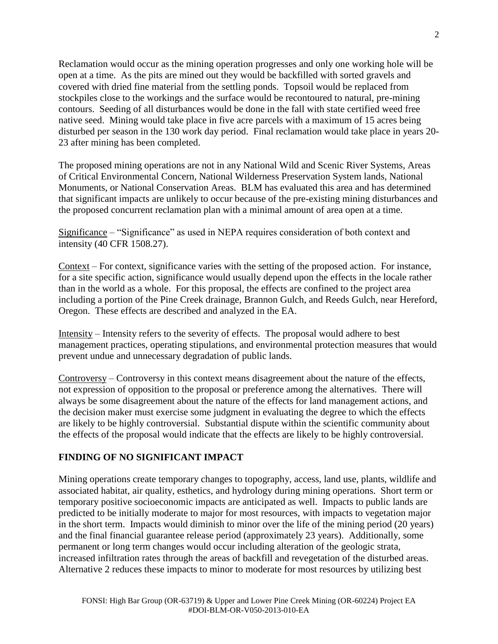Reclamation would occur as the mining operation progresses and only one working hole will be open at a time. As the pits are mined out they would be backfilled with sorted gravels and covered with dried fine material from the settling ponds. Topsoil would be replaced from stockpiles close to the workings and the surface would be recontoured to natural, pre-mining contours. Seeding of all disturbances would be done in the fall with state certified weed free native seed. Mining would take place in five acre parcels with a maximum of 15 acres being disturbed per season in the 130 work day period. Final reclamation would take place in years 20- 23 after mining has been completed.

The proposed mining operations are not in any National Wild and Scenic River Systems, Areas of Critical Environmental Concern, National Wilderness Preservation System lands, National Monuments, or National Conservation Areas. BLM has evaluated this area and has determined that significant impacts are unlikely to occur because of the pre-existing mining disturbances and the proposed concurrent reclamation plan with a minimal amount of area open at a time.

Significance – "Significance" as used in NEPA requires consideration of both context and intensity (40 CFR 1508.27).

Context – For context, significance varies with the setting of the proposed action. For instance, for a site specific action, significance would usually depend upon the effects in the locale rather than in the world as a whole. For this proposal, the effects are confined to the project area including a portion of the Pine Creek drainage, Brannon Gulch, and Reeds Gulch, near Hereford, Oregon. These effects are described and analyzed in the EA.

Intensity – Intensity refers to the severity of effects. The proposal would adhere to best management practices, operating stipulations, and environmental protection measures that would prevent undue and unnecessary degradation of public lands.

Controversy – Controversy in this context means disagreement about the nature of the effects, not expression of opposition to the proposal or preference among the alternatives. There will always be some disagreement about the nature of the effects for land management actions, and the decision maker must exercise some judgment in evaluating the degree to which the effects are likely to be highly controversial. Substantial dispute within the scientific community about the effects of the proposal would indicate that the effects are likely to be highly controversial.

# **FINDING OF NO SIGNIFICANT IMPACT**

Mining operations create temporary changes to topography, access, land use, plants, wildlife and associated habitat, air quality, esthetics, and hydrology during mining operations. Short term or temporary positive socioeconomic impacts are anticipated as well. Impacts to public lands are predicted to be initially moderate to major for most resources, with impacts to vegetation major in the short term. Impacts would diminish to minor over the life of the mining period (20 years) and the final financial guarantee release period (approximately 23 years). Additionally, some permanent or long term changes would occur including alteration of the geologic strata, increased infiltration rates through the areas of backfill and revegetation of the disturbed areas. Alternative 2 reduces these impacts to minor to moderate for most resources by utilizing best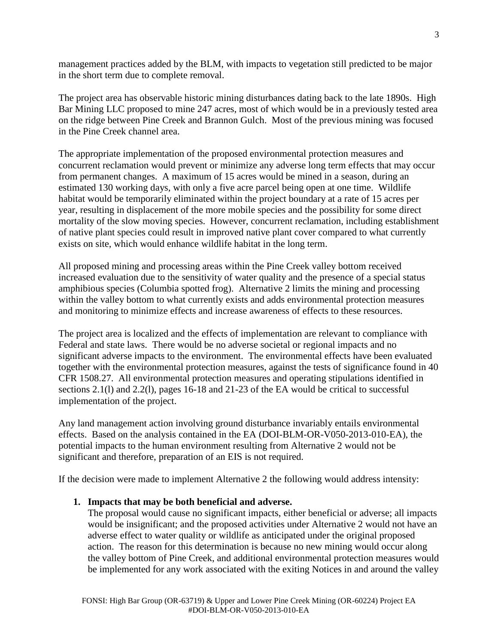management practices added by the BLM, with impacts to vegetation still predicted to be major in the short term due to complete removal.

The project area has observable historic mining disturbances dating back to the late 1890s. High Bar Mining LLC proposed to mine 247 acres, most of which would be in a previously tested area on the ridge between Pine Creek and Brannon Gulch. Most of the previous mining was focused in the Pine Creek channel area.

The appropriate implementation of the proposed environmental protection measures and concurrent reclamation would prevent or minimize any adverse long term effects that may occur from permanent changes. A maximum of 15 acres would be mined in a season, during an estimated 130 working days, with only a five acre parcel being open at one time. Wildlife habitat would be temporarily eliminated within the project boundary at a rate of 15 acres per year, resulting in displacement of the more mobile species and the possibility for some direct mortality of the slow moving species. However, concurrent reclamation, including establishment of native plant species could result in improved native plant cover compared to what currently exists on site, which would enhance wildlife habitat in the long term.

All proposed mining and processing areas within the Pine Creek valley bottom received increased evaluation due to the sensitivity of water quality and the presence of a special status amphibious species (Columbia spotted frog). Alternative 2 limits the mining and processing within the valley bottom to what currently exists and adds environmental protection measures and monitoring to minimize effects and increase awareness of effects to these resources.

The project area is localized and the effects of implementation are relevant to compliance with Federal and state laws. There would be no adverse societal or regional impacts and no significant adverse impacts to the environment. The environmental effects have been evaluated together with the environmental protection measures, against the tests of significance found in 40 CFR 1508.27. All environmental protection measures and operating stipulations identified in sections 2.1(l) and 2.2(l), pages 16-18 and 21-23 of the EA would be critical to successful implementation of the project.

Any land management action involving ground disturbance invariably entails environmental effects. Based on the analysis contained in the EA (DOI-BLM-OR-V050-2013-010-EA), the potential impacts to the human environment resulting from Alternative 2 would not be significant and therefore, preparation of an EIS is not required.

If the decision were made to implement Alternative 2 the following would address intensity:

### **1. Impacts that may be both beneficial and adverse.**

The proposal would cause no significant impacts, either beneficial or adverse; all impacts would be insignificant; and the proposed activities under Alternative 2 would not have an adverse effect to water quality or wildlife as anticipated under the original proposed action. The reason for this determination is because no new mining would occur along the valley bottom of Pine Creek, and additional environmental protection measures would be implemented for any work associated with the exiting Notices in and around the valley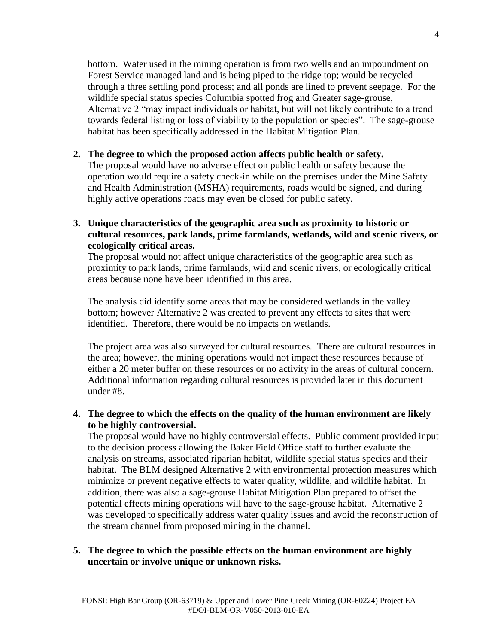bottom. Water used in the mining operation is from two wells and an impoundment on Forest Service managed land and is being piped to the ridge top; would be recycled through a three settling pond process; and all ponds are lined to prevent seepage. For the wildlife special status species Columbia spotted frog and Greater sage-grouse, Alternative 2 "may impact individuals or habitat, but will not likely contribute to a trend towards federal listing or loss of viability to the population or species". The sage-grouse habitat has been specifically addressed in the Habitat Mitigation Plan.

### **2. The degree to which the proposed action affects public health or safety.**

The proposal would have no adverse effect on public health or safety because the operation would require a safety check-in while on the premises under the Mine Safety and Health Administration (MSHA) requirements, roads would be signed, and during highly active operations roads may even be closed for public safety.

**3. Unique characteristics of the geographic area such as proximity to historic or cultural resources, park lands, prime farmlands, wetlands, wild and scenic rivers, or ecologically critical areas.**

The proposal would not affect unique characteristics of the geographic area such as proximity to park lands, prime farmlands, wild and scenic rivers, or ecologically critical areas because none have been identified in this area.

The analysis did identify some areas that may be considered wetlands in the valley bottom; however Alternative 2 was created to prevent any effects to sites that were identified. Therefore, there would be no impacts on wetlands.

The project area was also surveyed for cultural resources. There are cultural resources in the area; however, the mining operations would not impact these resources because of either a 20 meter buffer on these resources or no activity in the areas of cultural concern. Additional information regarding cultural resources is provided later in this document under #8.

# **4. The degree to which the effects on the quality of the human environment are likely to be highly controversial.**

The proposal would have no highly controversial effects. Public comment provided input to the decision process allowing the Baker Field Office staff to further evaluate the analysis on streams, associated riparian habitat, wildlife special status species and their habitat. The BLM designed Alternative 2 with environmental protection measures which minimize or prevent negative effects to water quality, wildlife, and wildlife habitat. In addition, there was also a sage-grouse Habitat Mitigation Plan prepared to offset the potential effects mining operations will have to the sage-grouse habitat. Alternative 2 was developed to specifically address water quality issues and avoid the reconstruction of the stream channel from proposed mining in the channel.

# **5. The degree to which the possible effects on the human environment are highly uncertain or involve unique or unknown risks.**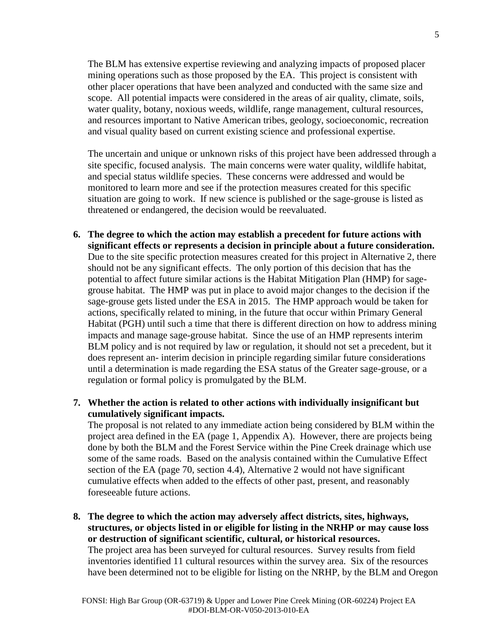The BLM has extensive expertise reviewing and analyzing impacts of proposed placer mining operations such as those proposed by the EA. This project is consistent with other placer operations that have been analyzed and conducted with the same size and scope. All potential impacts were considered in the areas of air quality, climate, soils, water quality, botany, noxious weeds, wildlife, range management, cultural resources, and resources important to Native American tribes, geology, socioeconomic, recreation and visual quality based on current existing science and professional expertise.

The uncertain and unique or unknown risks of this project have been addressed through a site specific, focused analysis. The main concerns were water quality, wildlife habitat, and special status wildlife species. These concerns were addressed and would be monitored to learn more and see if the protection measures created for this specific situation are going to work. If new science is published or the sage-grouse is listed as threatened or endangered, the decision would be reevaluated.

- **6. The degree to which the action may establish a precedent for future actions with significant effects or represents a decision in principle about a future consideration.** Due to the site specific protection measures created for this project in Alternative 2, there should not be any significant effects. The only portion of this decision that has the potential to affect future similar actions is the Habitat Mitigation Plan (HMP) for sagegrouse habitat. The HMP was put in place to avoid major changes to the decision if the sage-grouse gets listed under the ESA in 2015. The HMP approach would be taken for actions, specifically related to mining, in the future that occur within Primary General Habitat (PGH) until such a time that there is different direction on how to address mining impacts and manage sage-grouse habitat. Since the use of an HMP represents interim BLM policy and is not required by law or regulation, it should not set a precedent, but it does represent an- interim decision in principle regarding similar future considerations until a determination is made regarding the ESA status of the Greater sage-grouse, or a regulation or formal policy is promulgated by the BLM.
- **7. Whether the action is related to other actions with individually insignificant but cumulatively significant impacts.**

The proposal is not related to any immediate action being considered by BLM within the project area defined in the EA (page 1, Appendix A). However, there are projects being done by both the BLM and the Forest Service within the Pine Creek drainage which use some of the same roads. Based on the analysis contained within the Cumulative Effect section of the EA (page 70, section 4.4), Alternative 2 would not have significant cumulative effects when added to the effects of other past, present, and reasonably foreseeable future actions.

**8. The degree to which the action may adversely affect districts, sites, highways, structures, or objects listed in or eligible for listing in the NRHP or may cause loss or destruction of significant scientific, cultural, or historical resources.**  The project area has been surveyed for cultural resources. Survey results from field inventories identified 11 cultural resources within the survey area. Six of the resources have been determined not to be eligible for listing on the NRHP, by the BLM and Oregon